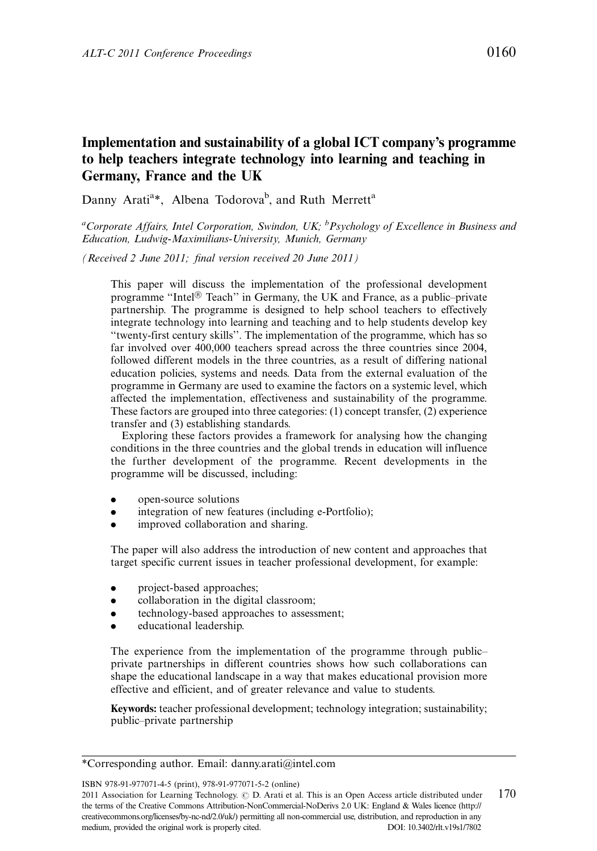# Implementation and sustainability of a global ICT company's programme to help teachers integrate technology into learning and teaching in Germany, France and the UK

Danny Arati<sup>a\*</sup>, Albena Todorova<sup>b</sup>, and Ruth Merrett<sup>a</sup>

<sup>a</sup>Corporate Affairs, Intel Corporation, Swindon, UK; <sup>b</sup>Psychology of Excellence in Business and Education, Ludwig-Maximilians-University, Munich, Germany

(Received 2 June 2011; final version received 20 June 2011)

This paper will discuss the implementation of the professional development programme "Intel $\mathcal{F}$  Teach" in Germany, the UK and France, as a public-private partnership. The programme is designed to help school teachers to effectively integrate technology into learning and teaching and to help students develop key ''twenty-first century skills''. The implementation of the programme, which has so far involved over 400,000 teachers spread across the three countries since 2004, followed different models in the three countries, as a result of differing national education policies, systems and needs. Data from the external evaluation of the programme in Germany are used to examine the factors on a systemic level, which affected the implementation, effectiveness and sustainability of the programme. These factors are grouped into three categories: (1) concept transfer, (2) experience transfer and (3) establishing standards.

Exploring these factors provides a framework for analysing how the changing conditions in the three countries and the global trends in education will influence the further development of the programme. Recent developments in the programme will be discussed, including:

- open-source solutions
- . integration of new features (including e-Portfolio);
- . improved collaboration and sharing.

The paper will also address the introduction of new content and approaches that target specific current issues in teacher professional development, for example:

- . project-based approaches;
- . collaboration in the digital classroom;
- . technology-based approaches to assessment;
- . educational leadership.

The experience from the implementation of the programme through public private partnerships in different countries shows how such collaborations can shape the educational landscape in a way that makes educational provision more effective and efficient, and of greater relevance and value to students.

Keywords: teacher professional development; technology integration; sustainability; public-private partnership

ISBN 978-91-977071-4-5 (print), 978-91-977071-5-2 (online)

<sup>\*</sup>Corresponding author. Email: danny.arati@intel.com

<sup>2011</sup> Association for Learning Technology.  $\odot$  D. Arati et al. This is an Open Access article distributed under 170 the terms of the Creative Commons Attribution-NonCommercial-NoDerivs 2.0 UK: England & Wales licence (http:// creativecommons.org/licenses/by-nc-nd/2.0/uk/) permitting all non-commercial use, distribution, and reproduction in any medium, provided the original work is properly cited. DOI: 10.3402/rlt.v19s1/7802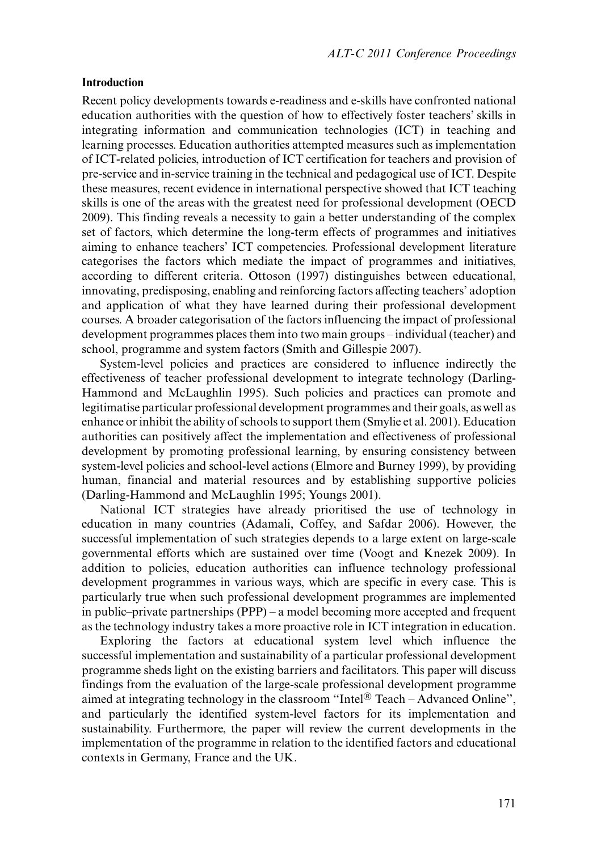#### Introduction

Recent policy developments towards e-readiness and e-skills have confronted national education authorities with the question of how to effectively foster teachers' skills in integrating information and communication technologies (ICT) in teaching and learning processes. Education authorities attempted measures such as implementation of ICT-related policies, introduction of ICT certification for teachers and provision of pre-service and in-service training in the technical and pedagogical use of ICT. Despite these measures, recent evidence in international perspective showed that ICT teaching skills is one of the areas with the greatest need for professional development (OECD 2009). This finding reveals a necessity to gain a better understanding of the complex set of factors, which determine the long-term effects of programmes and initiatives aiming to enhance teachers' ICT competencies. Professional development literature categorises the factors which mediate the impact of programmes and initiatives, according to different criteria. Ottoson (1997) distinguishes between educational, innovating, predisposing, enabling and reinforcing factors affecting teachers' adoption and application of what they have learned during their professional development courses. A broader categorisation of the factors influencing the impact of professional development programmes places them into two main groups – individual (teacher) and school, programme and system factors (Smith and Gillespie 2007).

System-level policies and practices are considered to influence indirectly the effectiveness of teacher professional development to integrate technology (Darling-Hammond and McLaughlin 1995). Such policies and practices can promote and legitimatise particular professional development programmes and their goals, as well as enhance or inhibit the ability of schools to support them (Smylie et al. 2001). Education authorities can positively affect the implementation and effectiveness of professional development by promoting professional learning, by ensuring consistency between system-level policies and school-level actions (Elmore and Burney 1999), by providing human, financial and material resources and by establishing supportive policies (Darling-Hammond and McLaughlin 1995; Youngs 2001).

National ICT strategies have already prioritised the use of technology in education in many countries (Adamali, Coffey, and Safdar 2006). However, the successful implementation of such strategies depends to a large extent on large-scale governmental efforts which are sustained over time (Voogt and Knezek 2009). In addition to policies, education authorities can influence technology professional development programmes in various ways, which are specific in every case. This is particularly true when such professional development programmes are implemented in public-private partnerships  $(PPP)$  – a model becoming more accepted and frequent as the technology industry takes a more proactive role in ICT integration in education.

Exploring the factors at educational system level which influence the successful implementation and sustainability of a particular professional development programme sheds light on the existing barriers and facilitators. This paper will discuss findings from the evaluation of the large-scale professional development programme aimed at integrating technology in the classroom "Intel® Teach - Advanced Online", and particularly the identified system-level factors for its implementation and sustainability. Furthermore, the paper will review the current developments in the implementation of the programme in relation to the identified factors and educational contexts in Germany, France and the UK.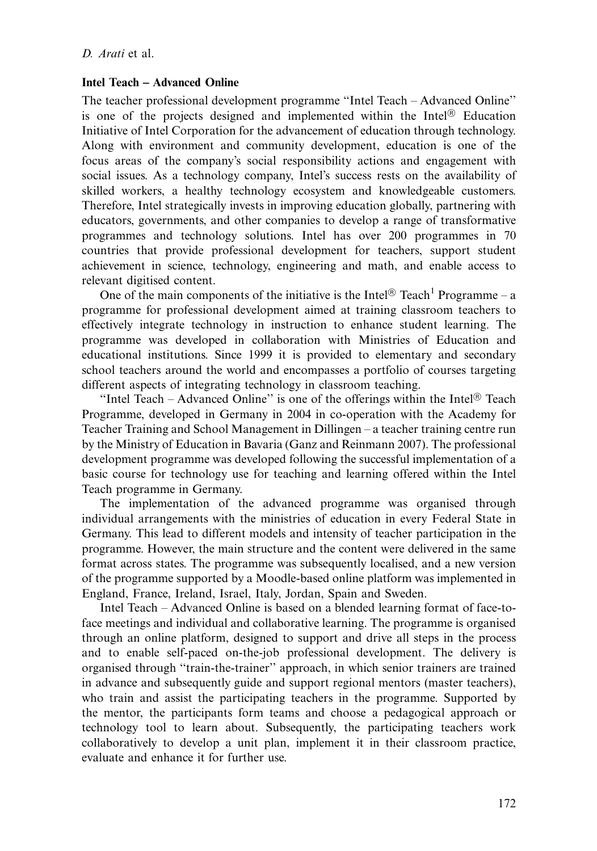## Intel Teach - Advanced Online

The teacher professional development programme ''Intel Teach Advanced Online'' is one of the projects designed and implemented within the Intel $\mathbb{B}$  Education Initiative of Intel Corporation for the advancement of education through technology. Along with environment and community development, education is one of the focus areas of the company's social responsibility actions and engagement with social issues. As a technology company, Intel's success rests on the availability of skilled workers, a healthy technology ecosystem and knowledgeable customers. Therefore, Intel strategically invests in improving education globally, partnering with educators, governments, and other companies to develop a range of transformative programmes and technology solutions. Intel has over 200 programmes in 70 countries that provide professional development for teachers, support student achievement in science, technology, engineering and math, and enable access to relevant digitised content.

One of the main components of the initiative is the Intel<sup>®</sup> Teach<sup>1</sup> Programme – a programme for professional development aimed at training classroom teachers to effectively integrate technology in instruction to enhance student learning. The programme was developed in collaboration with Ministries of Education and educational institutions. Since 1999 it is provided to elementary and secondary school teachers around the world and encompasses a portfolio of courses targeting different aspects of integrating technology in classroom teaching.

"Intel Teach – Advanced Online" is one of the offerings within the Intel<sup>®</sup> Teach Programme, developed in Germany in 2004 in co-operation with the Academy for Teacher Training and School Management in Dillingen – a teacher training centre run by the Ministry of Education in Bavaria (Ganz and Reinmann 2007). The professional development programme was developed following the successful implementation of a basic course for technology use for teaching and learning offered within the Intel Teach programme in Germany.

The implementation of the advanced programme was organised through individual arrangements with the ministries of education in every Federal State in Germany. This lead to different models and intensity of teacher participation in the programme. However, the main structure and the content were delivered in the same format across states. The programme was subsequently localised, and a new version of the programme supported by a Moodle-based online platform was implemented in England, France, Ireland, Israel, Italy, Jordan, Spain and Sweden.

Intel Teach – Advanced Online is based on a blended learning format of face-toface meetings and individual and collaborative learning. The programme is organised through an online platform, designed to support and drive all steps in the process and to enable self-paced on-the-job professional development. The delivery is organised through ''train-the-trainer'' approach, in which senior trainers are trained in advance and subsequently guide and support regional mentors (master teachers), who train and assist the participating teachers in the programme. Supported by the mentor, the participants form teams and choose a pedagogical approach or technology tool to learn about. Subsequently, the participating teachers work collaboratively to develop a unit plan, implement it in their classroom practice, evaluate and enhance it for further use.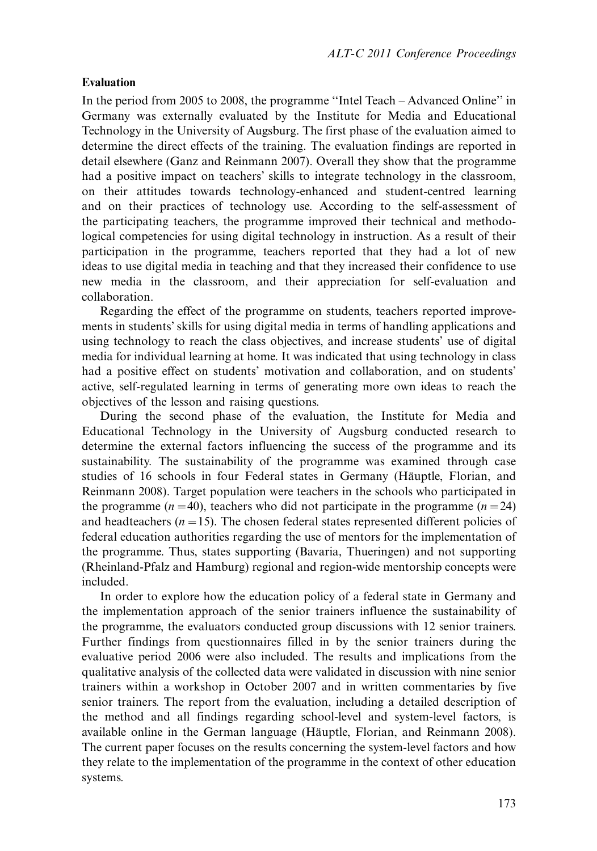# Evaluation

In the period from 2005 to 2008, the programme "Intel Teach – Advanced Online" in Germany was externally evaluated by the Institute for Media and Educational Technology in the University of Augsburg. The first phase of the evaluation aimed to determine the direct effects of the training. The evaluation findings are reported in detail elsewhere (Ganz and Reinmann 2007). Overall they show that the programme had a positive impact on teachers' skills to integrate technology in the classroom, on their attitudes towards technology-enhanced and student-centred learning and on their practices of technology use. According to the self-assessment of the participating teachers, the programme improved their technical and methodological competencies for using digital technology in instruction. As a result of their participation in the programme, teachers reported that they had a lot of new ideas to use digital media in teaching and that they increased their confidence to use new media in the classroom, and their appreciation for self-evaluation and collaboration.

Regarding the effect of the programme on students, teachers reported improvements in students' skills for using digital media in terms of handling applications and using technology to reach the class objectives, and increase students' use of digital media for individual learning at home. It was indicated that using technology in class had a positive effect on students' motivation and collaboration, and on students' active, self-regulated learning in terms of generating more own ideas to reach the objectives of the lesson and raising questions.

During the second phase of the evaluation, the Institute for Media and Educational Technology in the University of Augsburg conducted research to determine the external factors influencing the success of the programme and its sustainability. The sustainability of the programme was examined through case studies of 16 schools in four Federal states in Germany (Häuptle, Florian, and Reinmann 2008). Target population were teachers in the schools who participated in the programme ( $n = 40$ ), teachers who did not participate in the programme ( $n = 24$ ) and headteachers  $(n = 15)$ . The chosen federal states represented different policies of federal education authorities regarding the use of mentors for the implementation of the programme. Thus, states supporting (Bavaria, Thueringen) and not supporting (Rheinland-Pfalz and Hamburg) regional and region-wide mentorship concepts were included.

In order to explore how the education policy of a federal state in Germany and the implementation approach of the senior trainers influence the sustainability of the programme, the evaluators conducted group discussions with 12 senior trainers. Further findings from questionnaires filled in by the senior trainers during the evaluative period 2006 were also included. The results and implications from the qualitative analysis of the collected data were validated in discussion with nine senior trainers within a workshop in October 2007 and in written commentaries by five senior trainers. The report from the evaluation, including a detailed description of the method and all findings regarding school-level and system-level factors, is available online in the German language (Häuptle, Florian, and Reinmann 2008). The current paper focuses on the results concerning the system-level factors and how they relate to the implementation of the programme in the context of other education systems.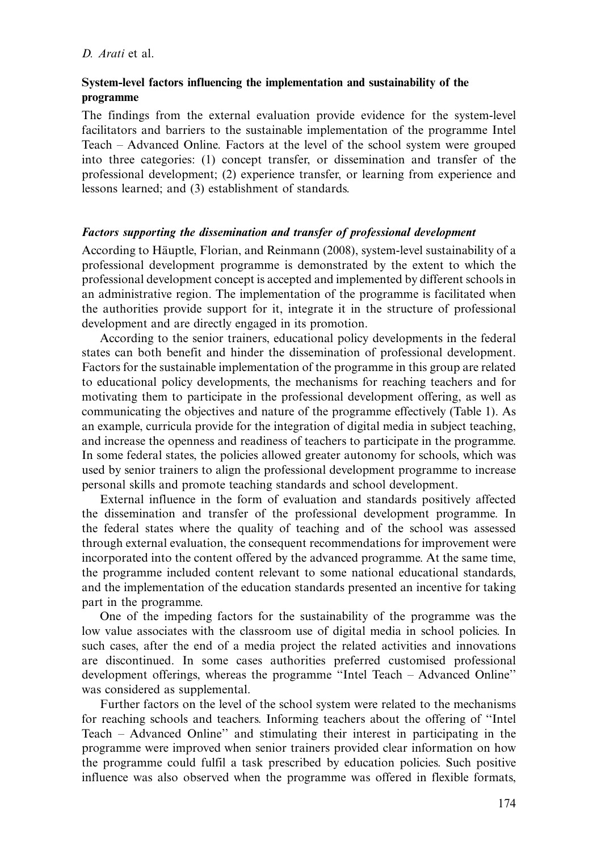# System-level factors influencing the implementation and sustainability of the programme

The findings from the external evaluation provide evidence for the system-level facilitators and barriers to the sustainable implementation of the programme Intel Teach Advanced Online. Factors at the level of the school system were grouped into three categories: (1) concept transfer, or dissemination and transfer of the professional development; (2) experience transfer, or learning from experience and lessons learned; and (3) establishment of standards.

## Factors supporting the dissemination and transfer of professional development

According to Häuptle, Florian, and Reinmann (2008), system-level sustainability of a professional development programme is demonstrated by the extent to which the professional development concept is accepted and implemented by different schools in an administrative region. The implementation of the programme is facilitated when the authorities provide support for it, integrate it in the structure of professional development and are directly engaged in its promotion.

According to the senior trainers, educational policy developments in the federal states can both benefit and hinder the dissemination of professional development. Factors for the sustainable implementation of the programme in this group are related to educational policy developments, the mechanisms for reaching teachers and for motivating them to participate in the professional development offering, as well as communicating the objectives and nature of the programme effectively (Table 1). As an example, curricula provide for the integration of digital media in subject teaching, and increase the openness and readiness of teachers to participate in the programme. In some federal states, the policies allowed greater autonomy for schools, which was used by senior trainers to align the professional development programme to increase personal skills and promote teaching standards and school development.

External influence in the form of evaluation and standards positively affected the dissemination and transfer of the professional development programme. In the federal states where the quality of teaching and of the school was assessed through external evaluation, the consequent recommendations for improvement were incorporated into the content offered by the advanced programme. At the same time, the programme included content relevant to some national educational standards, and the implementation of the education standards presented an incentive for taking part in the programme.

One of the impeding factors for the sustainability of the programme was the low value associates with the classroom use of digital media in school policies. In such cases, after the end of a media project the related activities and innovations are discontinued. In some cases authorities preferred customised professional development offerings, whereas the programme "Intel Teach - Advanced Online" was considered as supplemental.

Further factors on the level of the school system were related to the mechanisms for reaching schools and teachers. Informing teachers about the offering of ''Intel Teach Advanced Online'' and stimulating their interest in participating in the programme were improved when senior trainers provided clear information on how the programme could fulfil a task prescribed by education policies. Such positive influence was also observed when the programme was offered in flexible formats,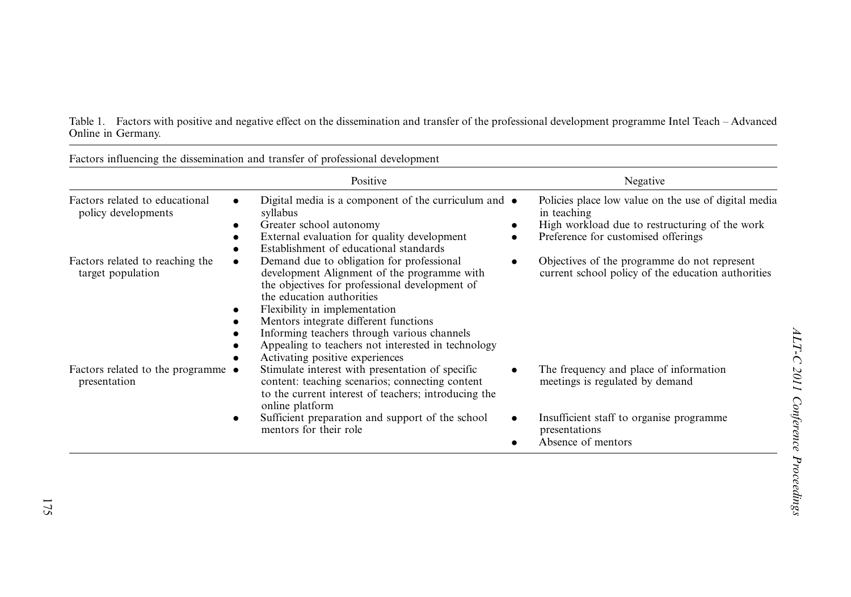Table 1. Factors with positive and negative effect on the dissemination and transfer of the professional development programme Intel Teach Advanced Online in Germany.

| Factors influencing the dissemination and transfer of professional development |                                                                                                                                                                                                                                                                                                                                                                                                              |                                                                                                                                                              |
|--------------------------------------------------------------------------------|--------------------------------------------------------------------------------------------------------------------------------------------------------------------------------------------------------------------------------------------------------------------------------------------------------------------------------------------------------------------------------------------------------------|--------------------------------------------------------------------------------------------------------------------------------------------------------------|
|                                                                                | Positive                                                                                                                                                                                                                                                                                                                                                                                                     | Negative                                                                                                                                                     |
| Factors related to educational<br>policy developments                          | Digital media is a component of the curriculum and $\bullet$<br>$\bullet$<br>syllabus<br>Greater school autonomy<br>External evaluation for quality development<br>$\bullet$<br>Establishment of educational standards                                                                                                                                                                                       | Policies place low value on the use of digital media<br>in teaching<br>High workload due to restructuring of the work<br>Preference for customised offerings |
| Factors related to reaching the<br>target population                           | Demand due to obligation for professional<br>$\bullet$<br>development Alignment of the programme with<br>the objectives for professional development of<br>the education authorities<br>Flexibility in implementation<br>٠<br>Mentors integrate different functions.<br>Informing teachers through various channels<br>Appealing to teachers not interested in technology<br>Activating positive experiences | Objectives of the programme do not represent<br>$\bullet$<br>current school policy of the education authorities                                              |
| Factors related to the programme •<br>presentation                             | Stimulate interest with presentation of specific<br>content: teaching scenarios; connecting content<br>to the current interest of teachers; introducing the<br>online platform                                                                                                                                                                                                                               | The frequency and place of information<br>meetings is regulated by demand                                                                                    |
|                                                                                | Sufficient preparation and support of the school<br>٠<br>mentors for their role                                                                                                                                                                                                                                                                                                                              | Insufficient staff to organise programme<br>presentations<br>Absence of mentors                                                                              |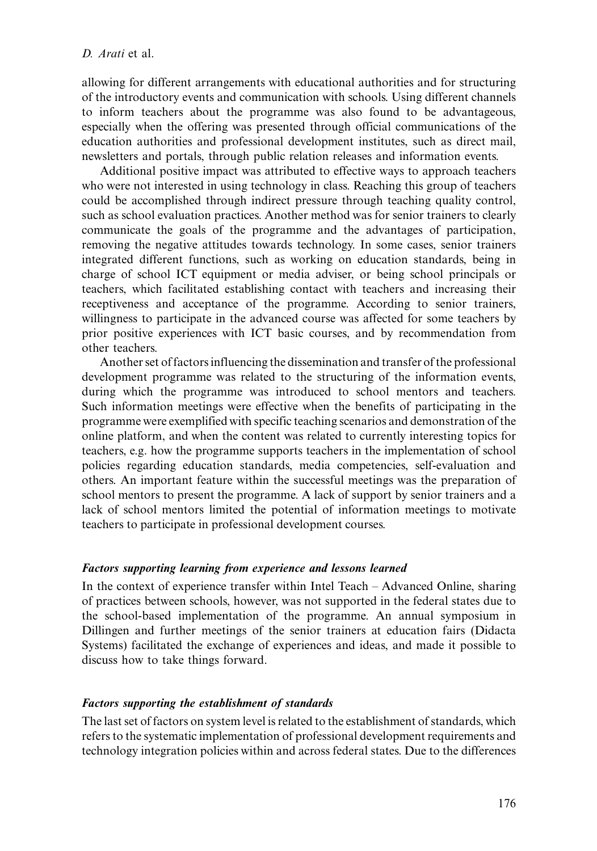allowing for different arrangements with educational authorities and for structuring of the introductory events and communication with schools. Using different channels to inform teachers about the programme was also found to be advantageous, especially when the offering was presented through official communications of the education authorities and professional development institutes, such as direct mail, newsletters and portals, through public relation releases and information events.

Additional positive impact was attributed to effective ways to approach teachers who were not interested in using technology in class. Reaching this group of teachers could be accomplished through indirect pressure through teaching quality control, such as school evaluation practices. Another method was for senior trainers to clearly communicate the goals of the programme and the advantages of participation, removing the negative attitudes towards technology. In some cases, senior trainers integrated different functions, such as working on education standards, being in charge of school ICT equipment or media adviser, or being school principals or teachers, which facilitated establishing contact with teachers and increasing their receptiveness and acceptance of the programme. According to senior trainers, willingness to participate in the advanced course was affected for some teachers by prior positive experiences with ICT basic courses, and by recommendation from other teachers.

Another set of factors influencing the dissemination and transfer of the professional development programme was related to the structuring of the information events, during which the programme was introduced to school mentors and teachers. Such information meetings were effective when the benefits of participating in the programme were exemplified with specific teaching scenarios and demonstration of the online platform, and when the content was related to currently interesting topics for teachers, e.g. how the programme supports teachers in the implementation of school policies regarding education standards, media competencies, self-evaluation and others. An important feature within the successful meetings was the preparation of school mentors to present the programme. A lack of support by senior trainers and a lack of school mentors limited the potential of information meetings to motivate teachers to participate in professional development courses.

## Factors supporting learning from experience and lessons learned

In the context of experience transfer within Intel Teach  $-$  Advanced Online, sharing of practices between schools, however, was not supported in the federal states due to the school-based implementation of the programme. An annual symposium in Dillingen and further meetings of the senior trainers at education fairs (Didacta Systems) facilitated the exchange of experiences and ideas, and made it possible to discuss how to take things forward.

## Factors supporting the establishment of standards

The last set of factors on system level is related to the establishment of standards, which refers to the systematic implementation of professional development requirements and technology integration policies within and across federal states. Due to the differences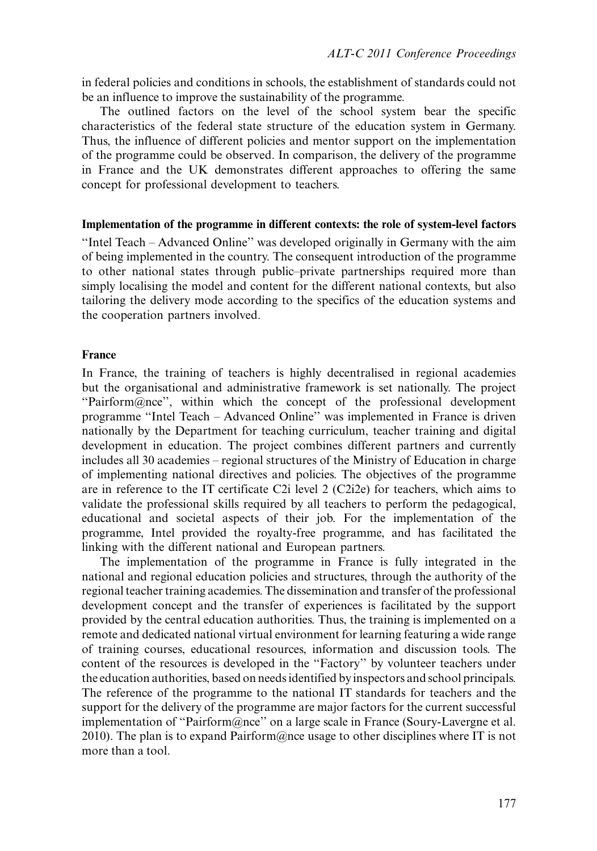in federal policies and conditions in schools, the establishment of standards could not be an influence to improve the sustainability of the programme.

The outlined factors on the level of the school system bear the specific characteristics of the federal state structure of the education system in Germany. Thus, the influence of different policies and mentor support on the implementation of the programme could be observed. In comparison, the delivery of the programme in France and the UK demonstrates different approaches to offering the same concept for professional development to teachers.

#### Implementation of the programme in different contexts: the role of system-level factors

''Intel Teach Advanced Online'' was developed originally in Germany with the aim of being implemented in the country. The consequent introduction of the programme to other national states through public-private partnerships required more than simply localising the model and content for the different national contexts, but also tailoring the delivery mode according to the specifics of the education systems and the cooperation partners involved.

#### France

In France, the training of teachers is highly decentralised in regional academies but the organisational and administrative framework is set nationally. The project ''Pairform@nce'', within which the concept of the professional development programme ''Intel Teach Advanced Online'' was implemented in France is driven nationally by the Department for teaching curriculum, teacher training and digital development in education. The project combines different partners and currently includes all 30 academies regional structures of the Ministry of Education in charge of implementing national directives and policies. The objectives of the programme are in reference to the IT certificate C2i level 2 (C2i2e) for teachers, which aims to validate the professional skills required by all teachers to perform the pedagogical, educational and societal aspects of their job. For the implementation of the programme, Intel provided the royalty-free programme, and has facilitated the linking with the different national and European partners.

The implementation of the programme in France is fully integrated in the national and regional education policies and structures, through the authority of the regional teacher training academies. The dissemination and transfer of the professional development concept and the transfer of experiences is facilitated by the support provided by the central education authorities. Thus, the training is implemented on a remote and dedicated national virtual environment for learning featuring a wide range of training courses, educational resources, information and discussion tools. The content of the resources is developed in the ''Factory'' by volunteer teachers under the education authorities, based on needs identified by inspectors and school principals. The reference of the programme to the national IT standards for teachers and the support for the delivery of the programme are major factors for the current successful implementation of ''Pairform@nce'' on a large scale in France (Soury-Lavergne et al. 2010). The plan is to expand Pairform@nce usage to other disciplines where IT is not more than a tool.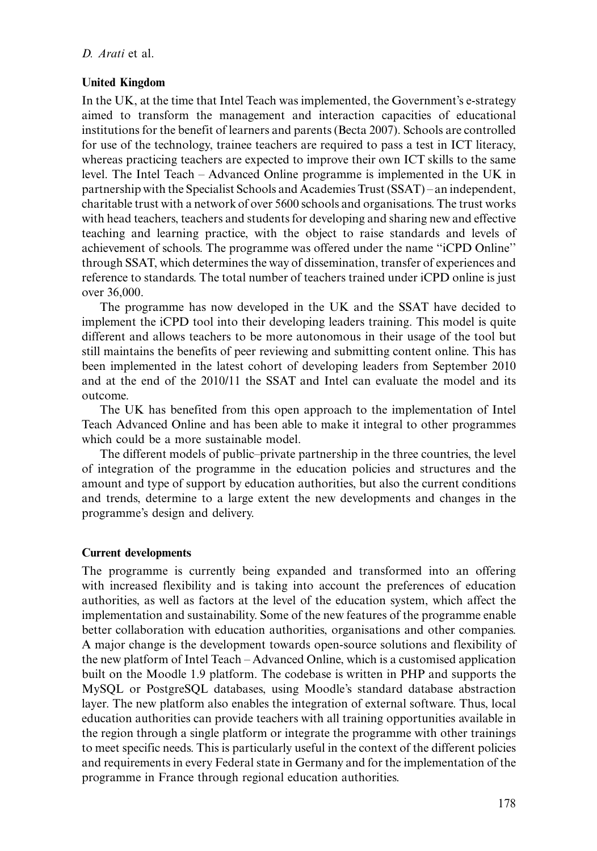## D. Arati et al.

## United Kingdom

In the UK, at the time that Intel Teach was implemented, the Government's e-strategy aimed to transform the management and interaction capacities of educational institutions for the benefit of learners and parents (Becta 2007). Schools are controlled for use of the technology, trainee teachers are required to pass a test in ICT literacy, whereas practicing teachers are expected to improve their own ICT skills to the same level. The Intel Teach  $-$  Advanced Online programme is implemented in the UK in partnership with the Specialist Schools and Academies Trust (SSAT) an independent, charitable trust with a network of over 5600 schools and organisations. The trust works with head teachers, teachers and students for developing and sharing new and effective teaching and learning practice, with the object to raise standards and levels of achievement of schools. The programme was offered under the name ''iCPD Online'' through SSAT, which determines the way of dissemination, transfer of experiences and reference to standards. The total number of teachers trained under iCPD online is just over 36,000.

The programme has now developed in the UK and the SSAT have decided to implement the iCPD tool into their developing leaders training. This model is quite different and allows teachers to be more autonomous in their usage of the tool but still maintains the benefits of peer reviewing and submitting content online. This has been implemented in the latest cohort of developing leaders from September 2010 and at the end of the 2010/11 the SSAT and Intel can evaluate the model and its outcome.

The UK has benefited from this open approach to the implementation of Intel Teach Advanced Online and has been able to make it integral to other programmes which could be a more sustainable model.

The different models of public-private partnership in the three countries, the level of integration of the programme in the education policies and structures and the amount and type of support by education authorities, but also the current conditions and trends, determine to a large extent the new developments and changes in the programme's design and delivery.

## Current developments

The programme is currently being expanded and transformed into an offering with increased flexibility and is taking into account the preferences of education authorities, as well as factors at the level of the education system, which affect the implementation and sustainability. Some of the new features of the programme enable better collaboration with education authorities, organisations and other companies. A major change is the development towards open-source solutions and flexibility of the new platform of Intel Teach – Advanced Online, which is a customised application built on the Moodle 1.9 platform. The codebase is written in PHP and supports the MySQL or PostgreSQL databases, using Moodle's standard database abstraction layer. The new platform also enables the integration of external software. Thus, local education authorities can provide teachers with all training opportunities available in the region through a single platform or integrate the programme with other trainings to meet specific needs. This is particularly useful in the context of the different policies and requirements in every Federal state in Germany and for the implementation of the programme in France through regional education authorities.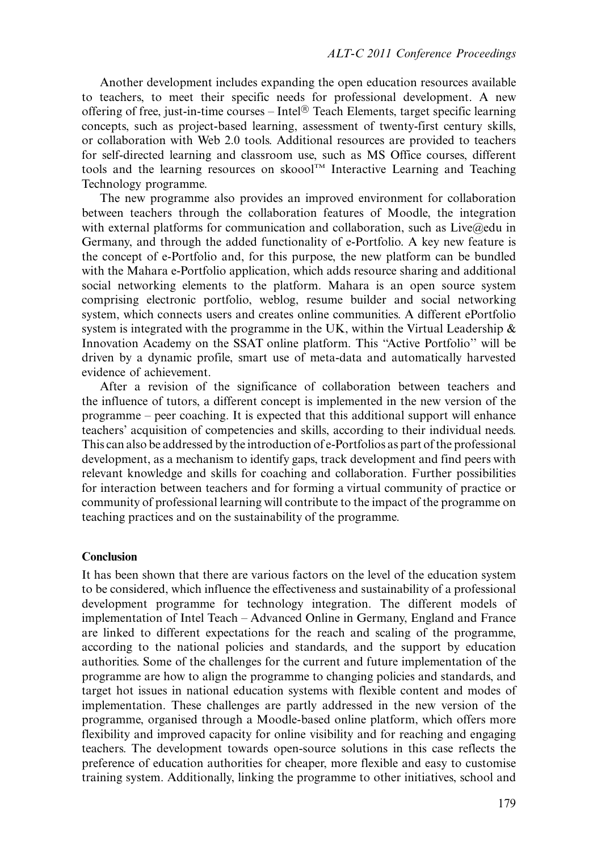Another development includes expanding the open education resources available to teachers, to meet their specific needs for professional development. A new offering of free, just-in-time courses  $-Intel^@$  Teach Elements, target specific learning concepts, such as project-based learning, assessment of twenty-first century skills, or collaboration with Web 2.0 tools. Additional resources are provided to teachers for self-directed learning and classroom use, such as MS Office courses, different tools and the learning resources on skoool<sup>TM</sup> Interactive Learning and Teaching Technology programme.

The new programme also provides an improved environment for collaboration between teachers through the collaboration features of Moodle, the integration with external platforms for communication and collaboration, such as Live@edu in Germany, and through the added functionality of e-Portfolio. A key new feature is the concept of e-Portfolio and, for this purpose, the new platform can be bundled with the Mahara e-Portfolio application, which adds resource sharing and additional social networking elements to the platform. Mahara is an open source system comprising electronic portfolio, weblog, resume builder and social networking system, which connects users and creates online communities. A different ePortfolio system is integrated with the programme in the UK, within the Virtual Leadership  $\&$ Innovation Academy on the SSAT online platform. This ''Active Portfolio'' will be driven by a dynamic profile, smart use of meta-data and automatically harvested evidence of achievement.

After a revision of the significance of collaboration between teachers and the influence of tutors, a different concept is implemented in the new version of the  $programme - peer coaching. It is expected that this additional support will enhance$ teachers' acquisition of competencies and skills, according to their individual needs. This can also be addressed by the introduction of e-Portfolios as part of the professional development, as a mechanism to identify gaps, track development and find peers with relevant knowledge and skills for coaching and collaboration. Further possibilities for interaction between teachers and for forming a virtual community of practice or community of professional learning will contribute to the impact of the programme on teaching practices and on the sustainability of the programme.

#### Conclusion

It has been shown that there are various factors on the level of the education system to be considered, which influence the effectiveness and sustainability of a professional development programme for technology integration. The different models of implementation of Intel Teach Advanced Online in Germany, England and France are linked to different expectations for the reach and scaling of the programme, according to the national policies and standards, and the support by education authorities. Some of the challenges for the current and future implementation of the programme are how to align the programme to changing policies and standards, and target hot issues in national education systems with flexible content and modes of implementation. These challenges are partly addressed in the new version of the programme, organised through a Moodle-based online platform, which offers more flexibility and improved capacity for online visibility and for reaching and engaging teachers. The development towards open-source solutions in this case reflects the preference of education authorities for cheaper, more flexible and easy to customise training system. Additionally, linking the programme to other initiatives, school and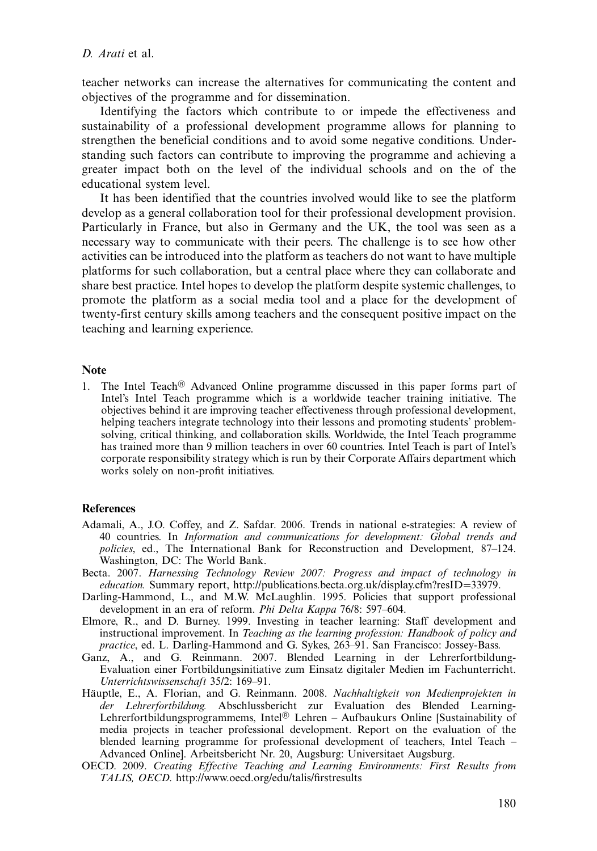teacher networks can increase the alternatives for communicating the content and objectives of the programme and for dissemination.

Identifying the factors which contribute to or impede the effectiveness and sustainability of a professional development programme allows for planning to strengthen the beneficial conditions and to avoid some negative conditions. Understanding such factors can contribute to improving the programme and achieving a greater impact both on the level of the individual schools and on the of the educational system level.

It has been identified that the countries involved would like to see the platform develop as a general collaboration tool for their professional development provision. Particularly in France, but also in Germany and the UK, the tool was seen as a necessary way to communicate with their peers. The challenge is to see how other activities can be introduced into the platform as teachers do not want to have multiple platforms for such collaboration, but a central place where they can collaborate and share best practice. Intel hopes to develop the platform despite systemic challenges, to promote the platform as a social media tool and a place for the development of twenty-first century skills among teachers and the consequent positive impact on the teaching and learning experience.

## Note

1. The Intel Teach<sup>®</sup> Advanced Online programme discussed in this paper forms part of Intel's Intel Teach programme which is a worldwide teacher training initiative. The objectives behind it are improving teacher effectiveness through professional development, helping teachers integrate technology into their lessons and promoting students' problemsolving, critical thinking, and collaboration skills. Worldwide, the Intel Teach programme has trained more than 9 million teachers in over 60 countries. Intel Teach is part of Intel's corporate responsibility strategy which is run by their Corporate Affairs department which works solely on non-profit initiatives.

## References

- Adamali, A., J.O. Coffey, and Z. Safdar. 2006. Trends in national e-strategies: A review of 40 countries. In Information and communications for development: Global trends and policies, ed., The International Bank for Reconstruction and Development, 87–124. Washington, DC: The World Bank.
- Becta. 2007. Harnessing Technology Review 2007: Progress and impact of technology in education. Summary report, [http://publications.becta.org.uk/display.cfm?resID](http://publications.becta.org.uk/display.cfm?resID=33979)=[33979](http://publications.becta.org.uk/display.cfm?resID=33979).
- Darling-Hammond, L., and M.W. McLaughlin. 1995. Policies that support professional development in an era of reform. Phi Delta Kappa 76/8: 597–604.
- Elmore, R., and D. Burney. 1999. Investing in teacher learning: Staff development and instructional improvement. In Teaching as the learning profession: Handbook of policy and practice, ed. L. Darling-Hammond and G. Sykes, 263–91. San Francisco: Jossey-Bass.
- Ganz, A., and G. Reinmann. 2007. Blended Learning in der Lehrerfortbildung-Evaluation einer Fortbildungsinitiative zum Einsatz digitaler Medien im Fachunterricht. Unterrichtswissenschaft 35/2: 169-91.
- Häuptle, E., A. Florian, and G. Reinmann. 2008. Nachhaltigkeit von Medienprojekten in der Lehrerfortbildung. Abschlussbericht zur Evaluation des Blended Learning-Lehrerfortbildungsprogrammems, Intel $\textcircled{B}$  Lehren – Aufbaukurs Online [Sustainability of media projects in teacher professional development. Report on the evaluation of the blended learning programme for professional development of teachers, Intel Teach Advanced Online]. Arbeitsbericht Nr. 20, Augsburg: Universitaet Augsburg.
- OECD. 2009. Creating Effective Teaching and Learning Environments: First Results from TALIS, OECD.<http://www.oecd.org/edu/talis/firstresults>